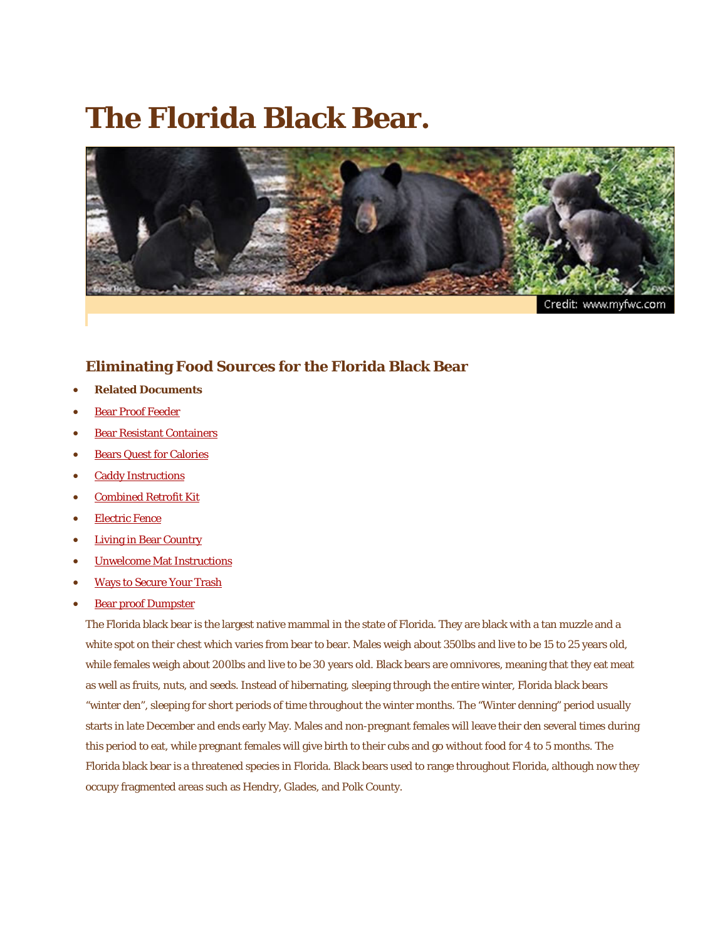## **The Florida Black Bear.**



Credit: www.myfwc.com

## **Eliminating Food Sources for the Florida Black Bear**

- **Related Documents**
- [Bear Proof Feeder](http://www.semtribe.com/Services/ERMD/PDF/bears/BearProofFeeder.pdf)
- [Bear Resistant Containers](http://www.semtribe.com/Services/ERMD/PDF/bears/BearResistantContainers.pdf)
- [Bears Quest for Calories](http://www.semtribe.com/Services/ERMD/PDF/bears/BearsQuestforCalories.pdf)
- [Caddy Instructions](http://www.semtribe.com/Services/ERMD/PDF/bears/CaddyInstructions.pdf)
- [Combined Retrofit Kit](http://www.semtribe.com/Services/ERMD/PDF/bears/Combined-Retrofit-kit-directions.pdf)
- [Electric Fence](http://www.semtribe.com/Services/ERMD/PDF/bears/ElectricFence.pdf)
- [Living in Bear Country](http://www.semtribe.com/Services/ERMD/PDF/bears/LivinginBearCountryBrochure.pdf)
- [Unwelcome Mat Instructions](http://www.semtribe.com/Services/ERMD/PDF/bears/Unwelcome-Mat-Instructions.pdf)
- [Ways to Secure Your Trash](http://www.semtribe.com/Services/ERMD/PDF/bears/waystosecureyourtrash.pdf)
- [Bear proof Dumpster](http://www.semtribe.com/Services/ERMD/PDF/bears/whatisabearproofdumpster.pdf)

The Florida black bear is the largest native mammal in the state of Florida. They are black with a tan muzzle and a white spot on their chest which varies from bear to bear. Males weigh about 350lbs and live to be 15 to 25 years old, while females weigh about 200lbs and live to be 30 years old. Black bears are omnivores, meaning that they eat meat as well as fruits, nuts, and seeds. Instead of hibernating, sleeping through the entire winter, Florida black bears "winter den", sleeping for short periods of time throughout the winter months. The "Winter denning" period usually starts in late December and ends early May. Males and non-pregnant females will leave their den several times during this period to eat, while pregnant females will give birth to their cubs and go without food for 4 to 5 months. The Florida black bear is a threatened species in Florida. Black bears used to range throughout Florida, although now they occupy fragmented areas such as Hendry, Glades, and Polk County.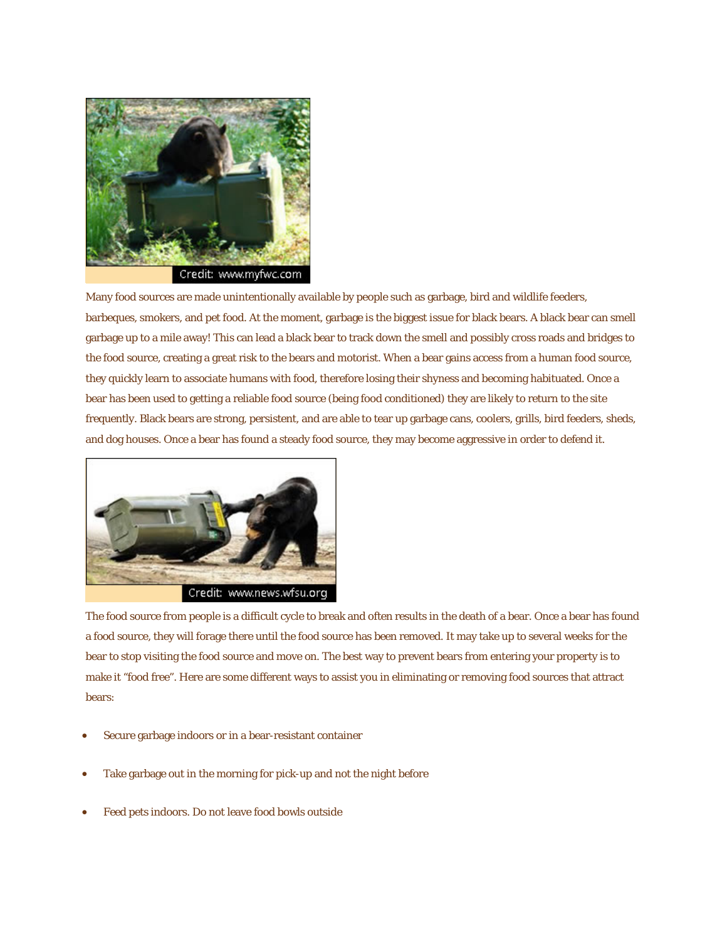

Many food sources are made unintentionally available by people such as garbage, bird and wildlife feeders, barbeques, smokers, and pet food. At the moment, garbage is the biggest issue for black bears. A black bear can smell garbage up to a mile away! This can lead a black bear to track down the smell and possibly cross roads and bridges to the food source, creating a great risk to the bears and motorist. When a bear gains access from a human food source, they quickly learn to associate humans with food, therefore losing their shyness and becoming habituated. Once a bear has been used to getting a reliable food source (being food conditioned) they are likely to return to the site frequently. Black bears are strong, persistent, and are able to tear up garbage cans, coolers, grills, bird feeders, sheds, and dog houses. Once a bear has found a steady food source, they may become aggressive in order to defend it.



The food source from people is a difficult cycle to break and often results in the death of a bear. Once a bear has found a food source, they will forage there until the food source has been removed. It may take up to several weeks for the bear to stop visiting the food source and move on. The best way to prevent bears from entering your property is to make it "food free". Here are some different ways to assist you in eliminating or removing food sources that attract bears:

- Secure garbage indoors or in a bear-resistant container
- Take garbage out in the morning for pick-up and not the night before
- Feed pets indoors. Do not leave food bowls outside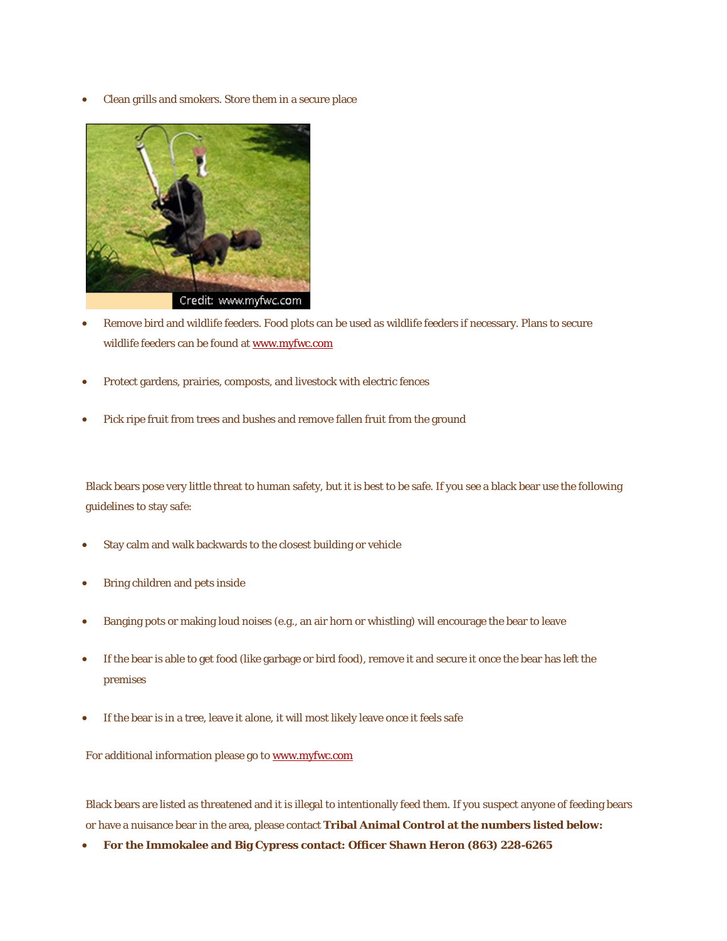• Clean grills and smokers. Store them in a secure place



- Remove bird and wildlife feeders. Food plots can be used as wildlife feeders if necessary. Plans to secure wildlife feeders can be found at [www.myfwc.com](http://myfwc.com/docs/WildlifeHabitats/bear_proof_feeder.pdf)
- Protect gardens, prairies, composts, and livestock with electric fences
- Pick ripe fruit from trees and bushes and remove fallen fruit from the ground

Black bears pose very little threat to human safety, but it is best to be safe. If you see a black bear use the following guidelines to stay safe:

- Stay calm and walk backwards to the closest building or vehicle
- Bring children and pets inside
- Banging pots or making loud noises (e.g., an air horn or whistling) will encourage the bear to leave
- If the bear is able to get food (like garbage or bird food), remove it and secure it once the bear has left the premises
- If the bear is in a tree, leave it alone, it will most likely leave once it feels safe

For additional information please go to [www.myfwc.com](http://myfwc.com/)

Black bears are listed as threatened and it is illegal to intentionally feed them. If you suspect anyone of feeding bears or have a nuisance bear in the area, please contact **Tribal Animal Control at the numbers listed below:**

• **For the Immokalee and Big Cypress contact: Officer Shawn Heron (863) 228-6265**